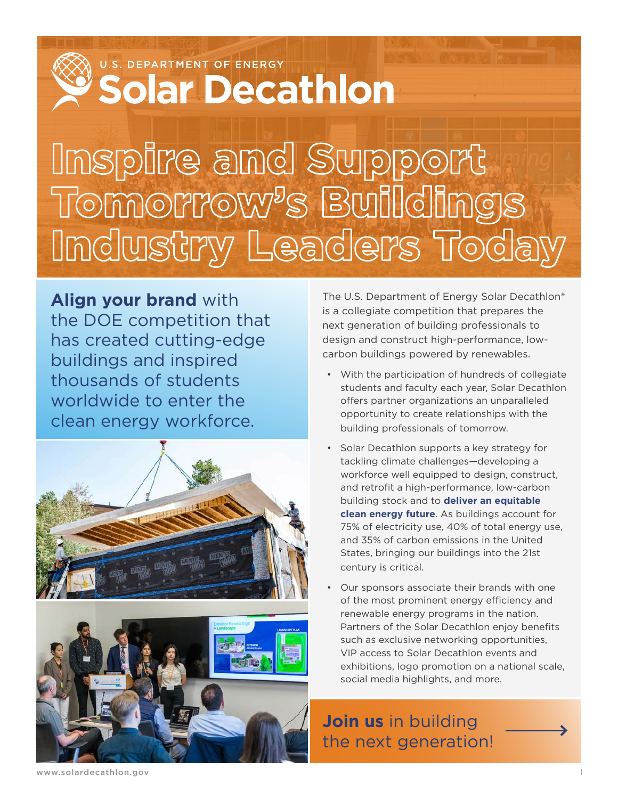U.S. DEPARTMENT OF ENERGY

# **Solar Decathlon**

# Inspire and Support Tomorrow's Buildings Industry Leaders Today

**Align your brand** with the DOE competition that has created cutting-edge buildings and inspired thousands of students worldwide to enter the clean energy workforce.



The U.S. Department of Energy Solar Decathlon® is a collegiate competition that prepares the next generation of building professionals to design and construct high-performance, lowcarbon buildings powered by renewables.

- With the participation of hundreds of collegiate students and faculty each year, Solar Decathlon offers partner organizations an unparalleled opportunity to create relationships with the building professionals of tomorrow.
- Solar Decathlon supports a key strategy for tackling climate challenges—developing a workforce well equipped to design, construct, and retrofit a high-performance, low-carbon building stock and to **deliver an equitable clean energy future**. As buildings account for 75% of electricity use, 40% of total energy use, and 35% of carbon emissions in the United States, bringing our buildings into the 21st century is critical.
- Our sponsors associate their brands with one of the most prominent energy efficiency and renewable energy programs in the nation. Partners of the Solar Decathlon enjoy benefits such as exclusive networking opportunities, VIP access to Solar Decathlon events and exhibitions, logo promotion on a national scale, social media highlights, and more.

## **Join us** in building the next generation!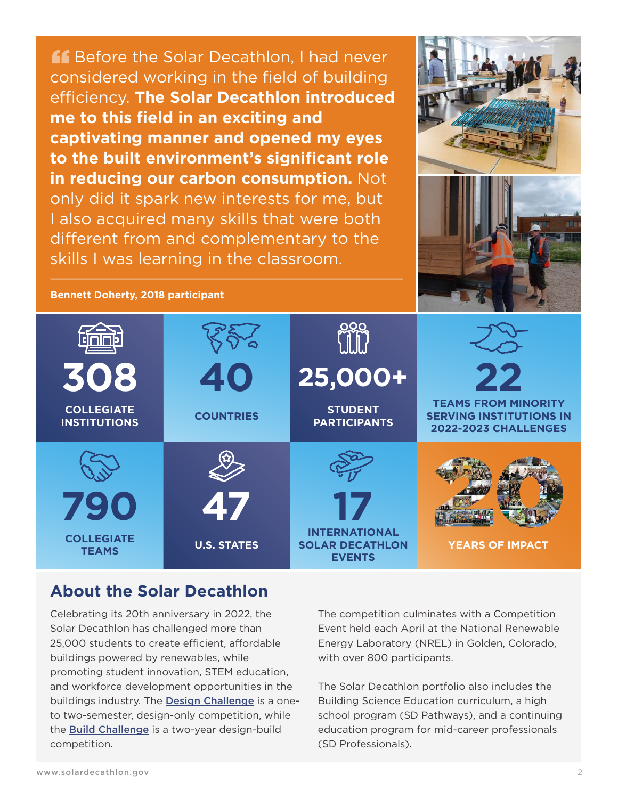**A.** Before the Solar Decathlon, I had never considered working in the field of building efficiency. **The Solar Decathlon introduced me to this field in an exciting and captivating manner and opened my eyes to the built environment's significant role in reducing our carbon consumption.** Not only did it spark new interests for me, but I also acquired many skills that were both different from and complementary to the skills I was learning in the classroom.



**Bennett Doherty, 2018 participant**



#### **About the Solar Decathlon**

Celebrating its 20th anniversary in 2022, the Solar Decathlon has challenged more than 25,000 students to create efficient, affordable buildings powered by renewables, while promoting student innovation, STEM education, and workforce development opportunities in the buildings industry. The [Design Challenge](https://www.solardecathlon.gov/event/challenges-design.html) is a oneto two-semester, design-only competition, while the [Build Challenge](https://www.solardecathlon.gov/event/challenges-build.html) is a two-year design-build competition.

The competition culminates with a Competition Event held each April at the National Renewable Energy Laboratory (NREL) in Golden, Colorado, with over 800 participants.

The Solar Decathlon portfolio also includes the Building Science Education curriculum, a high school program (SD Pathways), and a continuing education program for mid-career professionals (SD Professionals).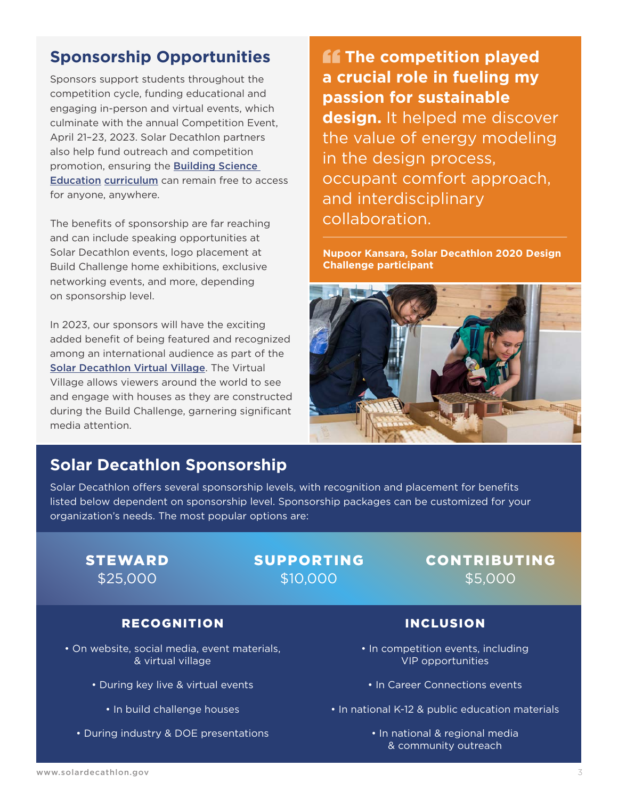## **Sponsorship Opportunities**

Sponsors support students throughout the competition cycle, funding educational and engaging in-person and virtual events, which culminate with the annual Competition Event, April 21–23, 2023. Solar Decathlon partners also help fund outreach and competition promotion, ensuring the [Building Science](https://www.solardecathlon.gov/building-science.html)  Education [curriculum](https://www.solardecathlon.gov/building-science.html) can remain free to access for anyone, anywhere.

The benefits of sponsorship are far reaching and can include speaking opportunities at Solar Decathlon events, logo placement at Build Challenge home exhibitions, exclusive networking events, and more, depending on sponsorship level.

In 2023, our sponsors will have the exciting added benefit of being featured and recognized among an international audience as part of the [Solar Decathlon Virtual Village](http://#). The Virtual Village allows viewers around the world to see and engage with houses as they are constructed during the Build Challenge, garnering significant media attention.

**ff** The competition played **a crucial role in fueling my passion for sustainable design.** It helped me discover the value of energy modeling in the design process, occupant comfort approach, and interdisciplinary collaboration.

**Nupoor Kansara, Solar Decathlon 2020 Design Challenge participant**



### **Solar Decathlon Sponsorship**

Solar Decathlon offers several sponsorship levels, with recognition and placement for benefits listed below dependent on sponsorship level. Sponsorship packages can be customized for your organization's needs. The most popular options are:

#### STEWARD \$25,000

#### SUPPORTING \$10,000

#### CONTRIBUTING \$5,000

#### RECOGNITION

- On website, social media, event materials, & virtual village
	- During key live & virtual events
		- In build challenge houses
	- During industry & DOE presentations

#### INCLUSION

- In competition events, including VIP opportunities
	- In Career Connections events
- In national K-12 & public education materials
	- In national & regional media & community outreach